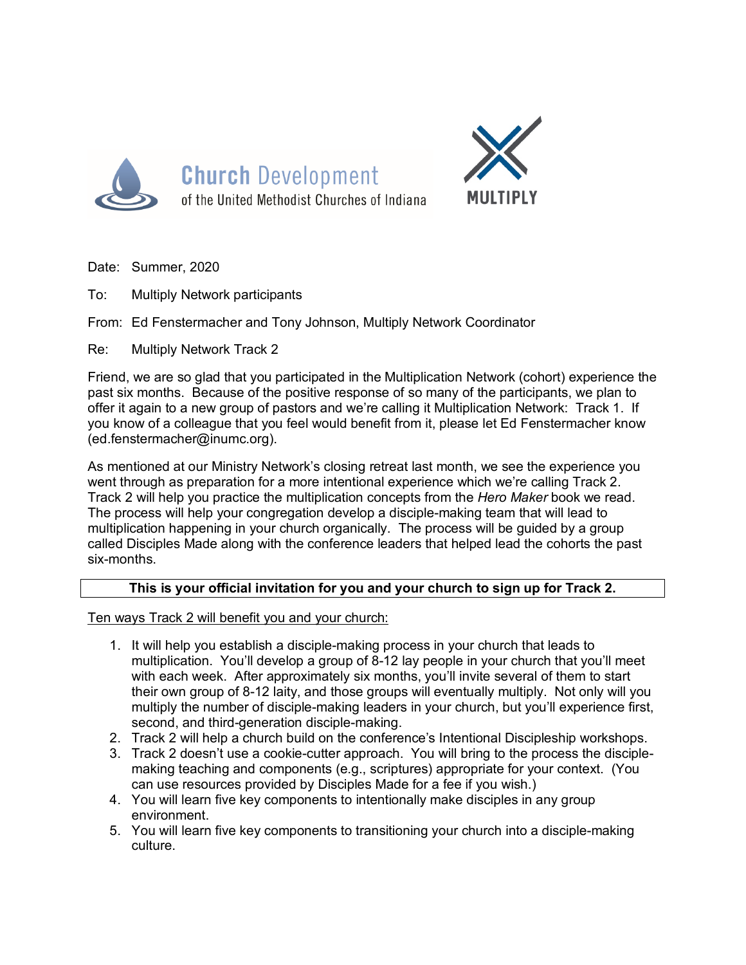

**Church Development** of the United Methodist Churches of Indiana



- Date: Summer, 2020
- To: Multiply Network participants

From: Ed Fenstermacher and Tony Johnson, Multiply Network Coordinator

Re: Multiply Network Track 2

Friend, we are so glad that you participated in the Multiplication Network (cohort) experience the past six months. Because of the positive response of so many of the participants, we plan to offer it again to a new group of pastors and we're calling it Multiplication Network: Track 1. If you know of a colleague that you feel would benefit from it, please let Ed Fenstermacher know (ed.fenstermacher@inumc.org).

As mentioned at our Ministry Network's closing retreat last month, we see the experience you went through as preparation for a more intentional experience which we're calling Track 2. Track 2 will help you practice the multiplication concepts from the *Hero Maker* book we read. The process will help your congregation develop a disciple-making team that will lead to multiplication happening in your church organically. The process will be guided by a group called Disciples Made along with the conference leaders that helped lead the cohorts the past six-months.

## **This is your official invitation for you and your church to sign up for Track 2.**

Ten ways Track 2 will benefit you and your church:

- 1. It will help you establish a disciple-making process in your church that leads to multiplication. You'll develop a group of 8-12 lay people in your church that you'll meet with each week. After approximately six months, you'll invite several of them to start their own group of 8-12 laity, and those groups will eventually multiply. Not only will you multiply the number of disciple-making leaders in your church, but you'll experience first, second, and third-generation disciple-making.
- 2. Track 2 will help a church build on the conference's Intentional Discipleship workshops.
- 3. Track 2 doesn't use a cookie-cutter approach. You will bring to the process the disciplemaking teaching and components (e.g., scriptures) appropriate for your context. (You can use resources provided by Disciples Made for a fee if you wish.)
- 4. You will learn five key components to intentionally make disciples in any group environment.
- 5. You will learn five key components to transitioning your church into a disciple-making culture.